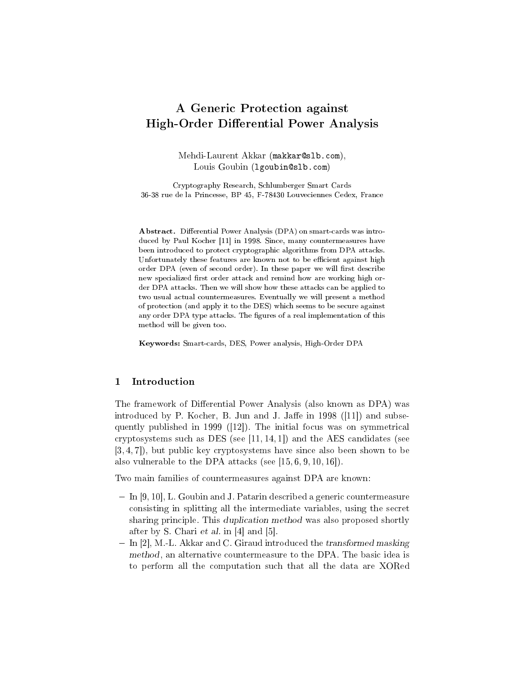# A Generic Protection against High-Order Differential Power Analysis

Mehdi-Laurent Akkar (makkar@slb.com), Louis Goubin (lgoubin@slb.com)

Cryptography Research, Schlumberger Smart Cards 36-38 rue de la Princesse, BP 45, F-78430 Louveciennes Cedex, France

Abstract. Differential Power Analysis (DPA) on smart-cards was introduced by Paul Kocher [11] in 1998. Since, many countermeasures have been introduced to protect cryptographic algorithms from DPA attacks. Unfortunately these features are known not to be efficient against high order DPA (even of second order). In these paper we will first describe new specialized first order attack and remind how are working high order DPA attacks. Then we will show how these attacks can be applied to two usual actual countermeasures. Eventually we will present a method of protection (and apply it to the DES) which seems to be secure against any order DPA type attacks. The figures of a real implementation of this method will be given too.

Keywords: Smart-cards, DES, Power analysis, High-Order DPA

# 1 Introduction

The framework of Differential Power Analysis (also known as DPA) was introduced by P. Kocher, B. Jun and J. Jaffe in  $1998$  ([11]) and subsequently published in 1999 ([12]). The initial focus was on symmetrical cryptosystems such as DES (see  $[11, 14, 1]$ ) and the AES candidates (see [3, 4, 7]), but public key cryptosystems have since also been shown to be also vulnerable to the DPA attacks (see [15, 6, 9, 10, 16]).

Two main families of countermeasures against DPA are known:

- $-In [9, 10]$ , L. Goubin and J. Patarin described a generic countermeasure consisting in splitting all the intermediate variables, using the secret sharing principle. This duplication method was also proposed shortly after by S. Chari et al. in [4] and [5].
- $I = \text{In } [2], M.$  L. Akkar and C. Giraud introduced the transformed masking method, an alternative countermeasure to the DPA. The basic idea is to perform all the computation such that all the data are XORed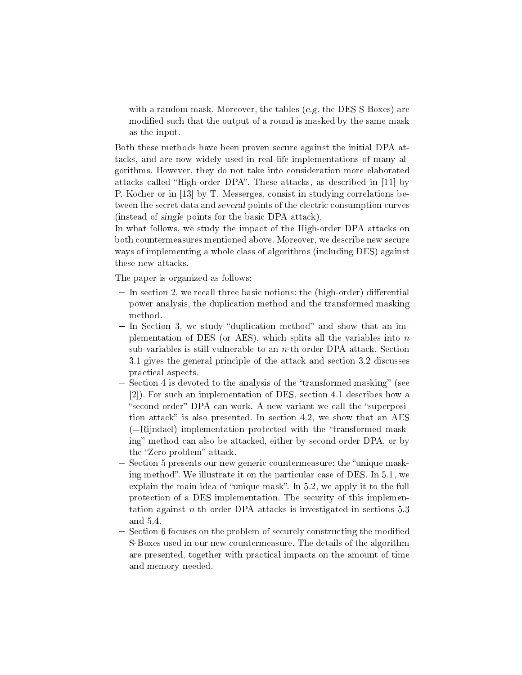with a random mask. Moreover, the tables (e.g. the DES S-Boxes) are modified such that the output of a round is masked by the same mask as the input.

Both these methods have been proven secure against the initial DPA attacks, and are now widely used in real life implementations of many algorithms. However, they do not take into consideration more elaborated attacks called "High-order DPA". These attacks, as described in [11] by P. Kocher or in [13] by T. Messerges, consist in studying correlations between the secret data and several points of the electric consumption curves (instead of single points for the basic DPA attack).

In what follows, we study the impact of the High-order DPA attacks on both countermeasures mentioned above. Moreover, we describe new secure ways of implementing a whole class of algorithms (including DES) against these new attacks.

The paper is organized as follows:

- $\overline{\phantom{a}}$  In section 2, we recall three basic notions: the (high-order) differential power analysis, the duplication method and the transformed masking method.
- $-In$  Section 3, we study "duplication method" and show that an implementation of DES (or AES), which splits all the variables into  $n$ sub-variables is still vulnerable to an  $n$ -th order DPA attack. Section 3.1 gives the general principle of the attack and section 3.2 discusses practical aspects.
- $-$  Section 4 is devoted to the analysis of the "transformed masking" (see [2]). For such an implementation of DES, section 4.1 describes how a "second order" DPA can work. A new variant we call the "superposition attack" is also presented. In section 4.2, we show that an AES  $(=\text{Riindael})$  implementation protected with the "transformed masking" method can also be attacked, either by second order DPA, or by the "Zero problem" attack.
- Section 5 presents our new generic countermeasure: the "unique masking method". We illustrate it on the particular case of DES. In  $5.1$ , we explain the main idea of "unique mask". In  $5.2$ , we apply it to the full protection of a DES implementation. The security of this implementation against  $n$ -th order DPA attacks is investigated in sections 5.3 and 5.4.
- Section 6 focuses on the problem of securely constructing the modified S-Boxes used in our new countermeasure. The details of the algorithm are presented, together with practical impacts on the amount of time and memory needed.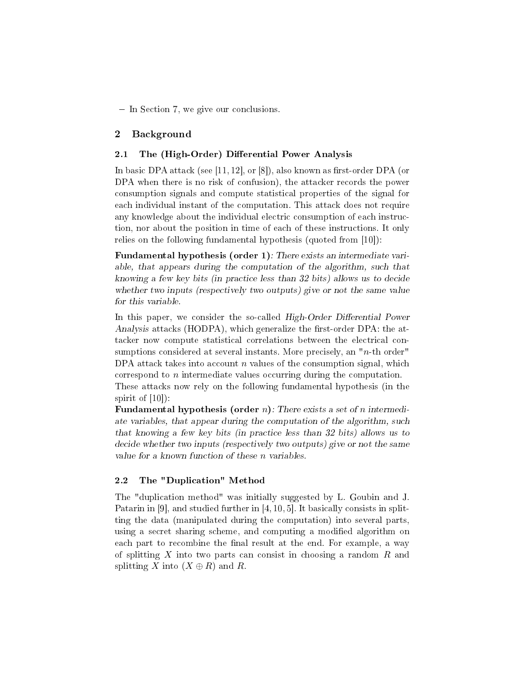- In Section 7, we give our conclusions.

# 2 Background

## 2.1 The (High-Order) Differential Power Analysis

In basic DPA attack (see [11, 12], or [8]), also known as first-order DPA (or DPA when there is no risk of confusion), the attacker records the power consumption signals and compute statistical properties of the signal for each individual instant of the computation. This attack does not require any knowledge about the individual electric consumption of each instruction, nor about the position in time of each of these instructions. It only relies on the following fundamental hypothesis (quoted from [10]):

Fundamental hypothesis (order 1): There exists an intermediate variable, that appears during the computation of the algorithm, such that knowing a few key bits (in practice less than 32 bits) allows us to decide whether two inputs (respectively two outputs) give or not the same value for this variable.

In this paper, we consider the so-called High-Order Differential Power Analysis attacks (HODPA), which generalize the first-order DPA: the attacker now compute statistical correlations between the electrical consumptions considered at several instants. More precisely, an " $n$ -th order" DPA attack takes into account  $n$  values of the consumption signal, which correspond to  $n$  intermediate values occurring during the computation.

These attacks now rely on the following fundamental hypothesis (in the spirit of  $[10]$ :

**Fundamental hypothesis (order n)**: There exists a set of n intermediate variables, that appear during the computation of the algorithm, such that knowing a few key bits (in practice less than 32 bits) allows us to decide whether two inputs (respectively two outputs) give or not the same value for a known function of these n variables.

# 2.2 The "Duplication" Method

The "duplication method" was initially suggested by L. Goubin and J. Patarin in [9], and studied further in [4, 10, 5]. It basically consists in splitting the data (manipulated during the computation) into several parts, using a secret sharing scheme, and computing a modified algorithm on each part to recombine the final result at the end. For example, a way of splitting X into two parts can consist in choosing a random  $R$  and splitting X into  $(X \oplus R)$  and R.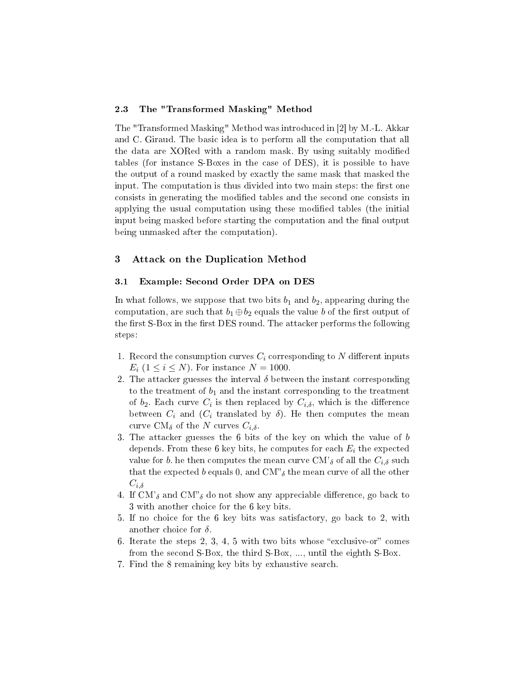#### 2.3 The "Transformed Masking" Method

The "Transformed Masking" Method was introduced in [2] by M.-L. Akkar and C. Giraud. The basic idea is to perform all the computation that all the data are XORed with a random mask. By using suitably modified tables (for instance S-Boxes in the case of DES), it is possible to have the output of a round masked by exactly the same mask that masked the input. The computation is thus divided into two main steps: the first one consists in generating the modified tables and the second one consists in applying the usual computation using these modified tables (the initial input being masked before starting the computation and the final output being unmasked after the computation).

# 3 Attack on the Duplication Method

# 3.1 Example: Second Order DPA on DES

In what follows, we suppose that two bits  $b_1$  and  $b_2$ , appearing during the computation, are such that  $b_1 \oplus b_2$  equals the value b of the first output of the first S-Box in the first DES round. The attacker performs the following steps:

- 1. Record the consumption curves  $C_i$  corresponding to N different inputs  $E_i$   $(1 \leq i \leq N)$ . For instance  $N = 1000$ .
- 2. The attacker guesses the interval  $\delta$  between the instant corresponding to the treatment of  $b_1$  and the instant corresponding to the treatment of  $b_2$ . Each curve  $C_i$  is then replaced by  $C_{i,\delta}$ , which is the difference between  $C_i$  and  $(C_i$  translated by  $\delta$ ). He then computes the mean curve CM $_{\delta}$  of the N curves  $C_{i,\delta}$ .
- 3. The attacker guesses the 6 bits of the key on which the value of b depends. From these 6 key bits, he computes for each  $E_i$  the expected value for b. he then computes the mean curve CM'<sub>δ</sub> of all the  $C_{i,\delta}$  such that the expected b equals 0, and CM<sup>n</sup><sub>b</sub> the mean curve of all the other  $C_{i,\delta}$
- 4. If CM'<sub>δ</sub> and CM"<sub>δ</sub> do not show any appreciable difference, go back to 3 with another choice for the 6 key bits.
- 5. If no choice for the 6 key bits was satisfactory, go back to 2, with another choice for  $\delta$ .
- 6. Iterate the steps 2, 3, 4, 5 with two bits whose "exclusive-or" comes from the second S-Box, the third S-Box, ..., until the eighth S-Box.
- 7. Find the 8 remaining key bits by exhaustive search.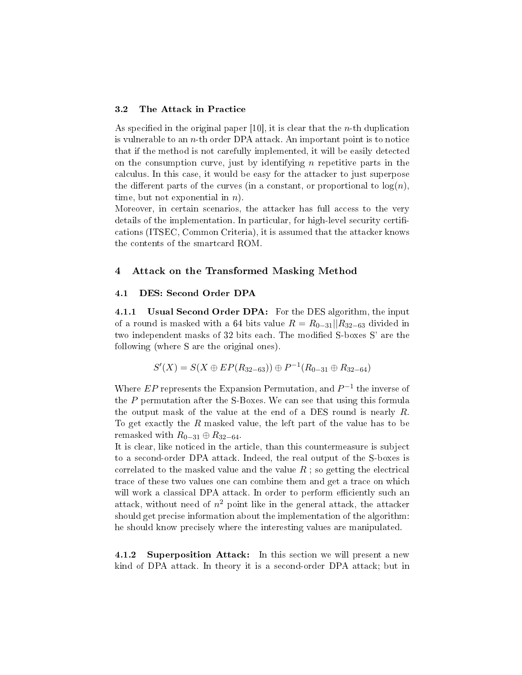#### 3.2 The Attack in Practice

As specified in the original paper  $[10]$ , it is clear that the *n*-th duplication is vulnerable to an  $n$ -th order DPA attack. An important point is to notice that if the method is not carefully implemented, it will be easily detected on the consumption curve, just by identifying  $n$  repetitive parts in the calculus. In this case, it would be easy for the attacker to just superpose the different parts of the curves (in a constant, or proportional to  $log(n)$ ). time, but not exponential in  $n$ ).

Moreover, in certain scenarios, the attacker has full access to the very details of the implementation. In particular, for high-level security certifications (ITSEC, Common Criteria), it is assumed that the attacker knows the contents of the smartcard ROM.

## 4 Attack on the Transformed Masking Method

#### 4.1 DES: Second Order DPA

4.1.1 Usual Second Order DPA: For the DES algorithm, the input of a round is masked with a 64 bits value  $R = R_{0-31}||R_{32-63}$  divided in two independent masks of 32 bits each. The modified S-boxes S' are the following (where S are the original ones).

$$
S'(X) = S(X \oplus EP(R_{32-63})) \oplus P^{-1}(R_{0-31} \oplus R_{32-64})
$$

Where  $EP$  represents the Expansion Permutation, and  $P^{-1}$  the inverse of the P permutation after the S-Boxes. We can see that using this formula the output mask of the value at the end of a DES round is nearly R. To get exactly the R masked value, the left part of the value has to be remasked with  $R_{0-31} \oplus R_{32-64}$ .

It is clear, like noticed in the article, than this countermeasure is subject to a second-order DPA attack. Indeed, the real output of the S-boxes is correlated to the masked value and the value  $R$ ; so getting the electrical trace of these two values one can combine them and get a trace on which will work a classical DPA attack. In order to perform efficiently such an attack, without need of  $n^2$  point like in the general attack, the attacker should get precise information about the implementation of the algorithm: he should know precisely where the interesting values are manipulated.

4.1.2 Superposition Attack: In this section we will present a new kind of DPA attack. In theory it is a second-order DPA attack; but in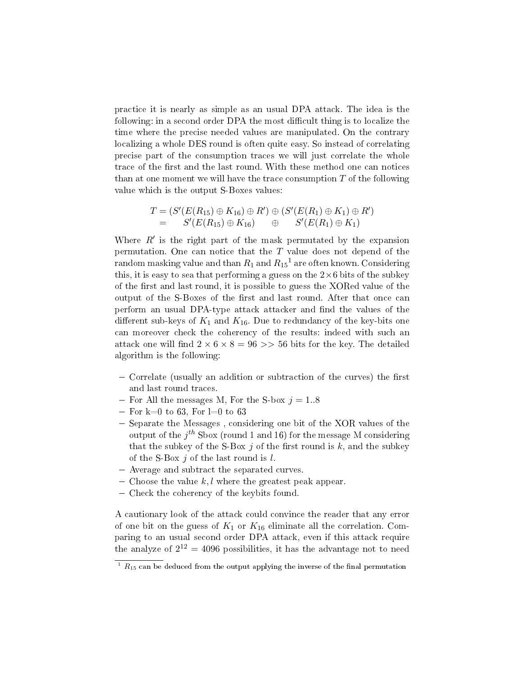practice it is nearly as simple as an usual DPA attack. The idea is the following: in a second order DPA the most difficult thing is to localize the time where the precise needed values are manipulated. On the contrary localizing a whole DES round is often quite easy. So instead of correlating precise part of the consumption traces we will just correlate the whole trace of the first and the last round. With these method one can notices than at one moment we will have the trace consumption  $T$  of the following value which is the output S-Boxes values:

$$
T = (S'(E(R_{15}) \oplus K_{16}) \oplus R') \oplus (S'(E(R_1) \oplus K_1) \oplus R')
$$
  
=  $S'(E(R_{15}) \oplus K_{16}) \oplus S'(E(R_1) \oplus K_1)$ 

Where  $R'$  is the right part of the mask permutated by the expansion permutation. One can notice that the  $T$  value does not depend of the random masking value and than  $R_1$  and  $R_{15}^{-1}$  are often known. Considering this, it is easy to sea that performing a guess on the  $2\times 6$  bits of the subkey of the first and last round, it is possible to guess the XORed value of the output of the S-Boxes of the first and last round. After that once can perform an usual DPA-type attack attacker and find the values of the different sub-keys of  $K_1$  and  $K_{16}$ . Due to redundancy of the key-bits one can moreover check the coherency of the results: indeed with such an attack one will find  $2 \times 6 \times 8 = 96 \gg 56$  bits for the key. The detailed algorithm is the following:

- $\sim$  Correlate (usually an addition or subtraction of the curves) the first and last round traces.
- For All the messages M, For the S-box  $j = 1.8$
- $-$  For k=0 to 63, For l=0 to 63
- $-$  Separate the Messages, considering one bit of the XOR values of the output of the  $j^{th}$  Sbox (round 1 and 16) for the message M considering that the subkey of the S-Box i of the first round is  $k$ , and the subkey of the S-Box  $j$  of the last round is  $l$ .
- Average and subtract the separated curves.
- Choose the value  $k, l$  where the greatest peak appear.
- Check the coherency of the keybits found.

A cautionary look of the attack could convince the reader that any error of one bit on the guess of  $K_1$  or  $K_{16}$  eliminate all the correlation. Comparing to an usual second order DPA attack, even if this attack require the analyze of  $2^{12} = 4096$  possibilities, it has the advantage not to need

 $\overline{1 \ R_{15} \ \text{can be}}$  deduced from the output applying the inverse of the final permutation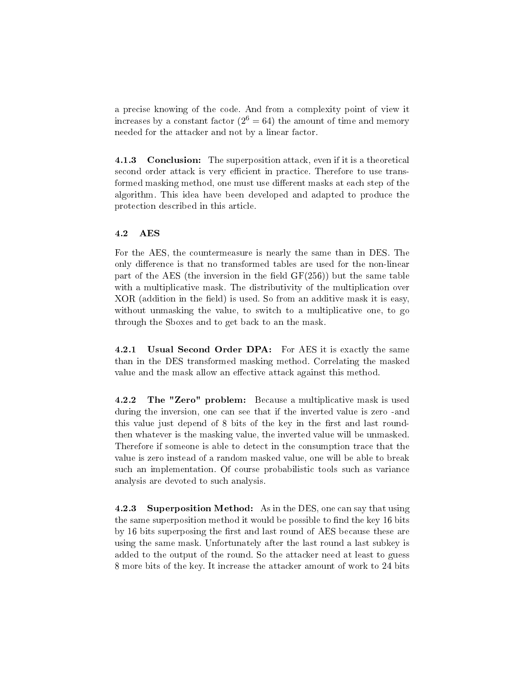a precise knowing of the code. And from a complexity point of view it increases by a constant factor ( $2^6 = 64$ ) the amount of time and memory needed for the attacker and not by a linear factor.

4.1.3 Conclusion: The superposition attack, even if it is a theoretical second order attack is very efficient in practice. Therefore to use transformed masking method, one must use different masks at each step of the algorithm. This idea have been developed and adapted to produce the protection described in this article.

### 4.2 AES

For the AES, the countermeasure is nearly the same than in DES. The only difference is that no transformed tables are used for the non-linear part of the AES (the inversion in the field  $GF(256)$ ) but the same table with a multiplicative mask. The distributivity of the multiplication over  $XOR$  (addition in the field) is used. So from an additive mask it is easy, without unmasking the value, to switch to a multiplicative one, to go through the Sboxes and to get back to an the mask.

4.2.1 Usual Second Order DPA: For AES it is exactly the same than in the DES transformed masking method. Correlating the masked value and the mask allow an effective attack against this method.

4.2.2 The "Zero" problem: Because a multiplicative mask is used during the inversion, one can see that if the inverted value is zero -and this value just depend of 8 bits of the key in the first and last roundthen whatever is the masking value, the inverted value will be unmasked. Therefore if someone is able to detect in the consumption trace that the value is zero instead of a random masked value, one will be able to break such an implementation. Of course probabilistic tools such as variance analysis are devoted to such analysis.

4.2.3 Superposition Method: As in the DES, one can say that using the same superposition method it would be possible to find the key 16 bits by 16 bits superposing the first and last round of AES because these are using the same mask. Unfortunately after the last round a last subkey is added to the output of the round. So the attacker need at least to guess 8 more bits of the key. It increase the attacker amount of work to 24 bits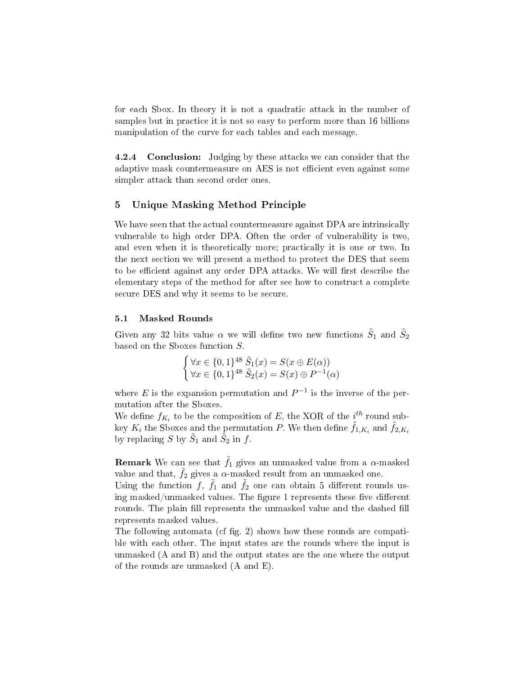for each Sbox. In theory it is not a quadratic attack in the number of samples but in practice it is not so easy to perform more than 16 billions manipulation of the curve for each tables and each message.

4.2.4 Conclusion: Judging by these attacks we can consider that the adaptive mask countermeasure on AES is not efficient even against some simpler attack than second order ones.

# 5 Unique Masking Method Principle

We have seen that the actual countermeasure against DPA are intrinsically vulnerable to high order DPA. Often the order of vulnerability is two, and even when it is theoretically more; practically it is one or two. In the next section we will present a method to protect the DES that seem to be efficient against any order DPA attacks. We will first describe the elementary steps of the method for after see how to construct a complete secure DES and why it seems to be secure.

#### 5.1 Masked Rounds

Given any 32 bits value  $\alpha$  we will define two new functions  $\tilde{S}_1$  and  $\tilde{S}_2$ based on the Sboxes function  $S$ .

$$
\begin{cases} \forall x \in \{0,1\}^{48} \tilde{S}_1(x) = S(x \oplus E(\alpha)) \\ \forall x \in \{0,1\}^{48} \tilde{S}_2(x) = S(x) \oplus P^{-1}(\alpha) \end{cases}
$$

where E is the expansion permutation and  $P^{-1}$  is the inverse of the permutation after the Sboxes.

We define  $f_{K_i}$  to be the composition of E, the XOR of the  $i^{th}$  round subkey  $K_i$  the Sboxes and the permutation  $P$ . We then define  $\tilde{f}_{1,K_i}$  and  $\tilde{f}_{2,K_i}$ by replacing S by  $\tilde{S}_1$  and  $\tilde{\bar{S}}_2$  in f.

**Remark** We can see that  $\tilde{f}_1$  gives an unmasked value from a  $\alpha$ -masked value and that,  $\tilde{f}_2$  gives a  $\alpha$ -masked result from an unmasked one.

Using the function  $f, \tilde{f}_1$  and  $\tilde{f}_2$  one can obtain 5 different rounds using masked/unmasked values. The figure 1 represents these five different rounds. The plain fill represents the unmasked value and the dashed fill represents masked values.

The following automata (cf fig. 2) shows how these rounds are compatible with each other. The input states are the rounds where the input is unmasked (A and B) and the output states are the one where the output of the rounds are unmasked (A and E).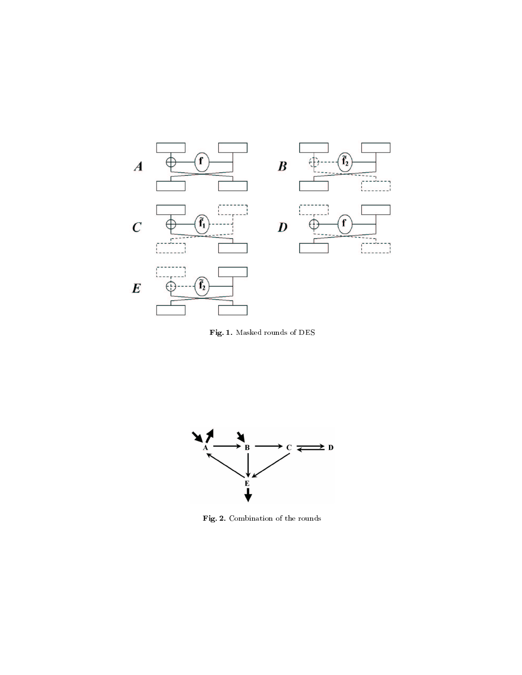

Fig. 1. Masked rounds of DES



Fig. 2. Combination of the rounds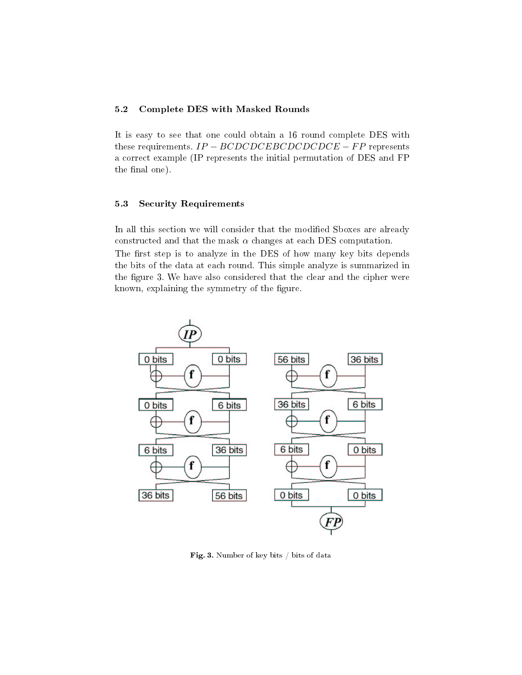# 5.2 Complete DES with Masked Rounds

It is easy to see that one could obtain a 16 round complete DES with these requirements.  $IP - BCDCDEBCDCDCDCE - FP$  represents a correct example (IP represents the initial permutation of DES and FP the final one).

## 5.3 Security Requirements

In all this section we will consider that the modified Sboxes are already constructed and that the mask  $\alpha$  changes at each DES computation. The first step is to analyze in the DES of how many key bits depends the bits of the data at each round. This simple analyze is summarized in the figure 3. We have also considered that the clear and the cipher were known, explaining the symmetry of the figure.



Fig. 3. Number of key bits / bits of data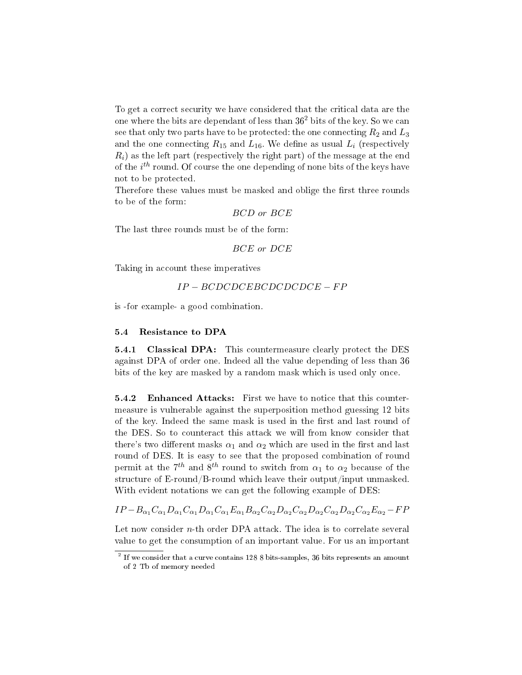To get a correct security we have considered that the critical data are the one where the bits are dependant of less than  $36<sup>2</sup>$  bits of the key. So we can see that only two parts have to be protected: the one connecting  $R_2$  and  $L_3$ and the one connecting  $R_{15}$  and  $L_{16}$ . We define as usual  $L_i$  (respectively  $R_i$ ) as the left part (respectively the right part) of the message at the end of the  $i^{th}$  round. Of course the one depending of none bits of the keys have not to be protected.

Therefore these values must be masked and oblige the first three rounds to be of the form:

BCD or BCE

The last three rounds must be of the form:

$$
BCE \; or \; DCE
$$

Taking in account these imperatives

$$
IP-BCDCDEBCDCDCDCE-FP
$$

is -for example- a good combination.

## 5.4 Resistance to DPA

**5.4.1 Classical DPA:** This countermeasure clearly protect the DES against DPA of order one. Indeed all the value depending of less than 36 bits of the key are masked by a random mask which is used only once.

**5.4.2** Enhanced Attacks: First we have to notice that this countermeasure is vulnerable against the superposition method guessing 12 bits of the key. Indeed the same mask is used in the first and last round of the DES. So to counteract this attack we will from know consider that there's two different masks  $\alpha_1$  and  $\alpha_2$  which are used in the first and last round of DES. It is easy to see that the proposed combination of round permit at the  $7^{th}$  and  $8^{th}$  round to switch from  $\alpha_1$  to  $\alpha_2$  because of the structure of E-round/B-round which leave their output/input unmasked. With evident notations we can get the following example of DES:

 $IP - B_{\alpha_1}C_{\alpha_1}D_{\alpha_1}C_{\alpha_1}D_{\alpha_1}C_{\alpha_1}E_{\alpha_1}B_{\alpha_2}C_{\alpha_2}D_{\alpha_2}C_{\alpha_2}D_{\alpha_2}C_{\alpha_2}D_{\alpha_2}C_{\alpha_2}E_{\alpha_2} - FP$ 

Let now consider  $n$ -th order DPA attack. The idea is to correlate several value to get the consumption of an important value. For us an important

 $^2$  If we consider that a curve contains 128 8 bits-samples, 36 bits represents an amount of 2 Tb of memory needed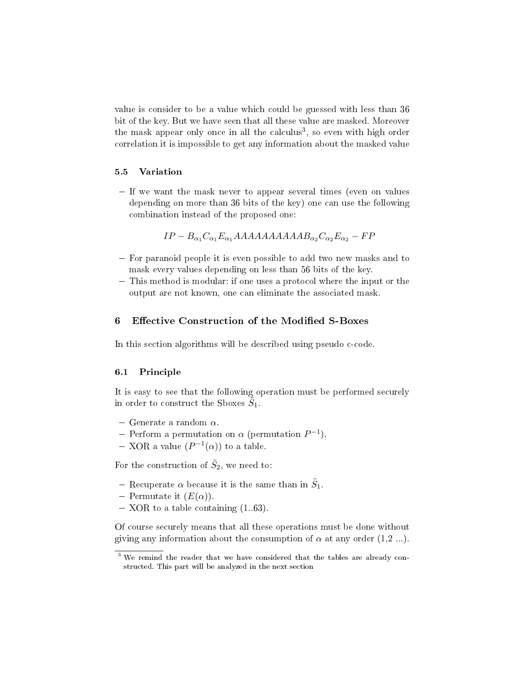value is consider to be a value which could be guessed with less than 36 bit of the key. But we have seen that all these value are masked. Moreover the mask appear only once in all the calculus<sup>3</sup>, so even with high order correlation it is impossible to get any information about the masked value

#### 5.5 Variation

- If we want the mask never to appear several times (even on values depending on more than 36 bits of the key) one can use the following combination instead of the proposed one:

$$
IP - B_{\alpha_1} C_{\alpha_1} E_{\alpha_1} AAAAAAAAABAAB_{\alpha_2} C_{\alpha_2} E_{\alpha_2} - FP
$$

- For paranoid people it is even possible to add two new masks and to mask every values depending on less than 56 bits of the key.
- This method is modular: if one uses a protocol where the input or the output are not known, one can eliminate the associated mask.

## 6 Effective Construction of the Modified S-Boxes

In this section algorithms will be described using pseudo c-code.

#### 6.1 Principle

It is easy to see that the following operation must be performed securely in order to construct the Sboxes  $\tilde{\tilde{S}}_1$ .

- Generate a random  $\alpha$ .
- Perform a permutation on  $\alpha$  (permutation  $P^{-1}$ ).
- XOR a value  $(P^{-1}(\alpha))$  to a table.

For the construction of  $\tilde{S}_2$ , we need to:

- Recuperate  $\alpha$  because it is the same than in  $\tilde{S}_1$ .
- Permutate it  $(E(\alpha))$ .
- $-$  XOR to a table containing  $(1.63)$ .

Of course securely means that all these operations must be done without giving any information about the consumption of  $\alpha$  at any order  $(1,2, ...)$ .

<sup>&</sup>lt;sup>3</sup> We remind the reader that we have considered that the tables are already constructed. This part will be analyzed in the next section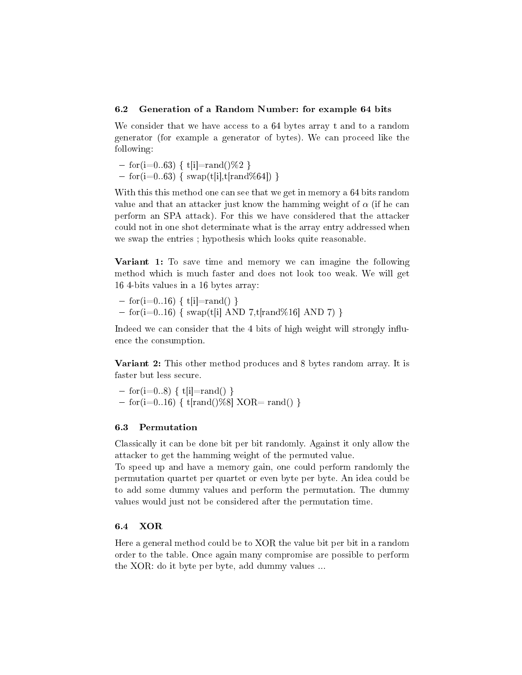#### 6.2 Generation of a Random Number: for example 64 bits

We consider that we have access to a 64 bytes array t and to a random generator (for example a generator of bytes). We can proceed like the following:

 $-$  for(i=0..63) { t[i]=rand()\%2 }  $-$  for(i=0..63) { swap(t[i],t[rand\%64]) }

With this this method one can see that we get in memory a 64 bits random value and that an attacker just know the hamming weight of  $\alpha$  (if he can perform an SPA attack). For this we have considered that the attacker could not in one shot determinate what is the array entry addressed when we swap the entries ; hypothesis which looks quite reasonable.

Variant 1: To save time and memory we can imagine the following method which is much faster and does not look too weak. We will get 16 4-bits values in a 16 bytes array:

 $-$  for(i=0..16) { t[i]=rand() }  $-$  for(i=0..16) { swap(t[i] AND 7,t[rand\%16] AND 7) }

Indeed we can consider that the 4 bits of high weight will strongly influence the consumption.

**Variant 2:** This other method produces and 8 bytes random array. It is faster but less secure.

 $-$  for(i=0..8) { t[i]=rand() }  $-$  for(i=0..16) { t[rand()%8] XOR= rand() }

#### 6.3 Permutation

Classically it can be done bit per bit randomly. Against it only allow the attacker to get the hamming weight of the permuted value.

To speed up and have a memory gain, one could perform randomly the permutation quartet per quartet or even byte per byte. An idea could be to add some dummy values and perform the permutation. The dummy values would just not be considered after the permutation time.

## 6.4 XOR

Here a general method could be to XOR the value bit per bit in a random order to the table. Once again many compromise are possible to perform the XOR: do it byte per byte, add dummy values ...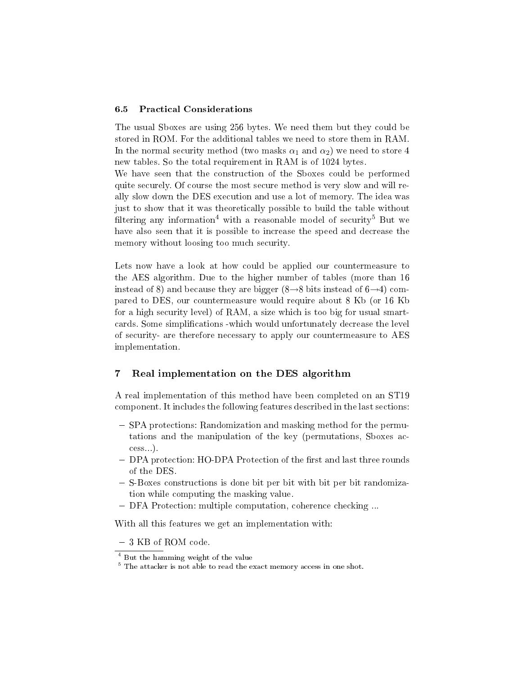#### 6.5 Practical Considerations

The usual Sboxes are using 256 bytes. We need them but they could be stored in ROM. For the additional tables we need to store them in RAM. In the normal security method (two masks  $\alpha_1$  and  $\alpha_2$ ) we need to store 4 new tables. So the total requirement in RAM is of 1024 bytes.

We have seen that the construction of the Sboxes could be performed quite securely. Of course the most secure method is very slow and will really slow down the DES execution and use a lot of memory. The idea was just to show that it was theoretically possible to build the table without filtering any information<sup>4</sup> with a reasonable model of security<sup>5</sup> But we have also seen that it is possible to increase the speed and decrease the memory without loosing too much security.

Lets now have a look at how could be applied our countermeasure to the AES algorithm. Due to the higher number of tables (more than 16 instead of 8) and because they are bigger (8 $\rightarrow$ 8 bits instead of 6 $\rightarrow$ 4) compared to DES, our countermeasure would require about 8 Kb (or 16 Kb for a high security level) of RAM, a size which is too big for usual smartcards. Some simplications -which would unfortunately decrease the level of security- are therefore necessary to apply our countermeasure to AES implementation.

# 7 Real implementation on the DES algorithm

A real implementation of this method have been completed on an ST19 component. It includes the following features described in the last sections:

- SPA protections: Randomization and masking method for the permutations and the manipulation of the key (permutations, Sboxes access...).
- DPA protection: HO-DPA Protection of the first and last three rounds of the DES.
- S-Boxes constructions is done bit per bit with bit per bit randomization while computing the masking value.
- DFA Protection: multiple computation, coherence checking ...

With all this features we get an implementation with:

3 KB of ROM code.

<sup>4</sup> But the hamming weight of the value

<sup>&</sup>lt;sup>5</sup> The attacker is not able to read the exact memory access in one shot.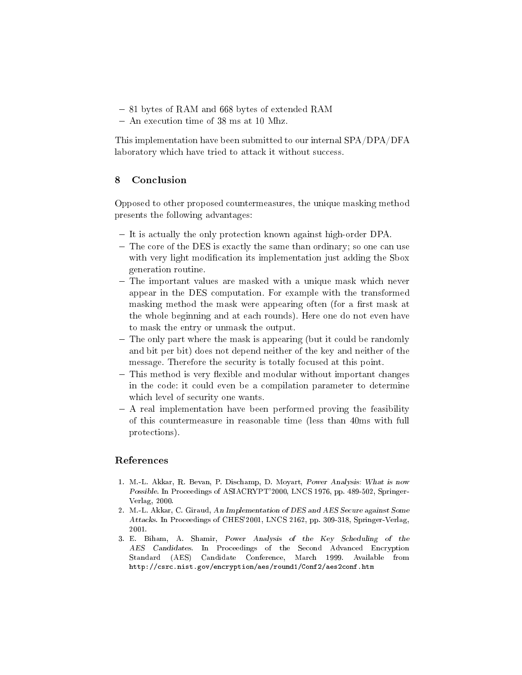- 81 bytes of RAM and 668 bytes of extended RAM
- An execution time of 38 ms at 10 Mhz.

This implementation have been submitted to our internal SPA/DPA/DFA laboratory which have tried to attack it without success.

# 8 Conclusion

Opposed to other proposed countermeasures, the unique masking method presents the following advantages:

- It is actually the only protection known against high-order DPA.
- The core of the DES is exactly the same than ordinary; so one can use with very light modification its implementation just adding the Sbox generation routine.
- The important values are masked with a unique mask which never appear in the DES computation. For example with the transformed masking method the mask were appearing often (for a first mask at the whole beginning and at each rounds). Here one do not even have to mask the entry or unmask the output.
- The only part where the mask is appearing (but it could be randomly and bit per bit) does not depend neither of the key and neither of the message. Therefore the security is totally focused at this point.
- This method is very flexible and modular without important changes in the code: it could even be a compilation parameter to determine which level of security one wants.
- A real implementation have been performed proving the feasibility of this countermeasure in reasonable time (less than 40ms with full protections).

# References

- 1. M.-L. Akkar, R. Bevan, P. Dischamp, D. Moyart, Power Analysis: What is now Possible. In Proceedings of ASIACRYPT'2000, LNCS 1976, pp. 489-502, Springer-Verlag, 2000.
- 2. M.-L. Akkar, C. Giraud, An Implementation of DES and AES Secure against Some Attacks. In Proceedings of CHES'2001, LNCS 2162, pp. 309-318, Springer-Verlag, 2001.
- 3. E. Biham, A. Shamir, Power Analysis of the Key Scheduling of the AES Candidates. In Proceedings of the Second Advanced Encryption Standard (AES) Candidate Conference, March 1999. Available from http://csrc.nist.gov/encryption/aes/round1/Conf2/aes2conf.htm